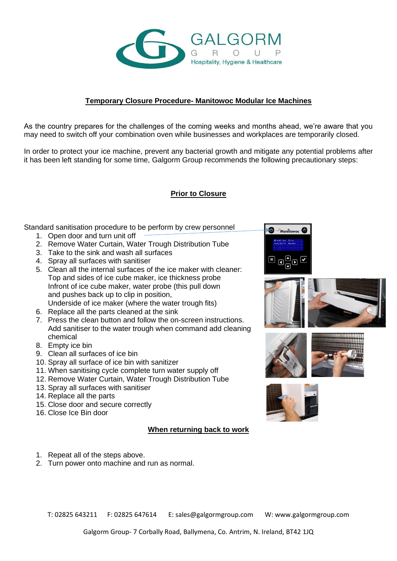

## **Temporary Closure Procedure- Manitowoc Modular Ice Machines**

As the country prepares for the challenges of the coming weeks and months ahead, we're aware that you may need to switch off your combination oven while businesses and workplaces are temporarily closed.

In order to protect your ice machine, prevent any bacterial growth and mitigate any potential problems after it has been left standing for some time, Galgorm Group recommends the following precautionary steps:

## **Prior to Closure**

Standard sanitisation procedure to be perform by crew personnel

- 1. Open door and turn unit off
- 2. Remove Water Curtain, Water Trough Distribution Tube
- 3. Take to the sink and wash all surfaces
- 4. Spray all surfaces with sanitiser
- 5. Clean all the internal surfaces of the ice maker with cleaner: Top and sides of ice cube maker, ice thickness probe Infront of ice cube maker, water probe (this pull down and pushes back up to clip in position, Underside of ice maker (where the water trough fits)
- 6. Replace all the parts cleaned at the sink
- 7. Press the clean button and follow the on-screen instructions. Add sanitiser to the water trough when command add cleaning chemical
- 8. Empty ice bin
- 9. Clean all surfaces of ice bin
- 10. Spray all surface of ice bin with sanitizer
- 11. When sanitising cycle complete turn water supply off
- 12. Remove Water Curtain, Water Trough Distribution Tube
- 13. Spray all surfaces with sanitiser
- 14. Replace all the parts
- 15. Close door and secure correctly
- 16. Close Ice Bin door

## **When returning back to work**

- 1. Repeat all of the steps above.
- 2. Turn power onto machine and run as normal.









T: 02825 643211 F: 02825 647614 E: sales@galgormgroup.com W: www.galgormgroup.com